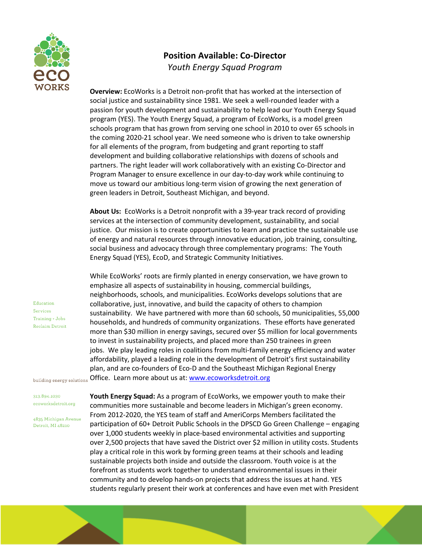

## **Position Available: Co-Director** *Youth Energy Squad Program*

**Overview:** EcoWorks is a Detroit non-profit that has worked at the intersection of social justice and sustainability since 1981. We seek a well-rounded leader with a passion for youth development and sustainability to help lead our Youth Energy Squad program (YES). The Youth Energy Squad, a program of EcoWorks, is a model green schools program that has grown from serving one school in 2010 to over 65 schools in the coming 2020-21 school year. We need someone who is driven to take ownership for all elements of the program, from budgeting and grant reporting to staff development and building collaborative relationships with dozens of schools and partners. The right leader will work collaboratively with an existing Co-Director and Program Manager to ensure excellence in our day-to-day work while continuing to move us toward our ambitious long-term vision of growing the next generation of green leaders in Detroit, Southeast Michigan, and beyond.

**About Us:** EcoWorks is a Detroit nonprofit with a 39-year track record of providing services at the intersection of community development, sustainability, and social justice. Our mission is to create opportunities to learn and practice the sustainable use of energy and natural resources through innovative education, job training, consulting, social business and advocacy through three complementary programs: The Youth Energy Squad (YES), EcoD, and Strategic Community Initiatives.

While EcoWorks' roots are firmly planted in energy conservation, we have grown to emphasize all aspects of sustainability in housing, commercial buildings, neighborhoods, schools, and municipalities. EcoWorks develops solutions that are collaborative, just, innovative, and build the capacity of others to champion sustainability. We have partnered with more than 60 schools, 50 municipalities, 55,000 households, and hundreds of community organizations. These efforts have generated more than \$30 million in energy savings, secured over \$5 million for local governments to invest in sustainability projects, and placed more than 250 trainees in green jobs. We play leading roles in coalitions from multi-family energy efficiency and water affordability, played a leading role in the development of Detroit's first sustainability plan, and are co-founders of Eco-D and the Southeast Michigan Regional Energy building energy solutions Office. Learn more about us at: www.ecoworksdetroit.org

Education Services Training + Jobs **Reclaim Detroit** 

313.894.1030 ecoworksdetroit.org

4835 Michigan Avenue Detroit, MI 48210

**Youth Energy Squad:** As a program of EcoWorks, we empower youth to make their communities more sustainable and become leaders in Michigan's green economy. From 2012-2020, the YES team of staff and AmeriCorps Members facilitated the participation of 60+ Detroit Public Schools in the DPSCD Go Green Challenge – engaging over 1,000 students weekly in place-based environmental activities and supporting over 2,500 projects that have saved the District over \$2 million in utility costs. Students play a critical role in this work by forming green teams at their schools and leading sustainable projects both inside and outside the classroom. Youth voice is at the forefront as students work together to understand environmental issues in their community and to develop hands-on projects that address the issues at hand. YES students regularly present their work at conferences and have even met with President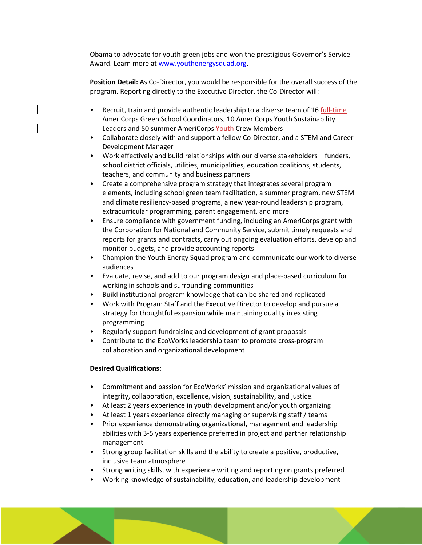Obama to advocate for youth green jobs and won the prestigious Governor's Service Award. Learn more at www.youthenergysquad.org.

**Position Detail:** As Co-Director, you would be responsible for the overall success of the program. Reporting directly to the Executive Director, the Co-Director will:

- Recruit, train and provide authentic leadership to a diverse team of 16 full-time AmeriCorps Green School Coordinators, 10 AmeriCorps Youth Sustainability Leaders and 50 summer AmeriCorps Youth Crew Members
- Collaborate closely with and support a fellow Co-Director, and a STEM and Career Development Manager
- Work effectively and build relationships with our diverse stakeholders funders, school district officials, utilities, municipalities, education coalitions, students, teachers, and community and business partners
- Create a comprehensive program strategy that integrates several program elements, including school green team facilitation, a summer program, new STEM and climate resiliency-based programs, a new year-round leadership program, extracurricular programming, parent engagement, and more
- Ensure compliance with government funding, including an AmeriCorps grant with the Corporation for National and Community Service, submit timely requests and reports for grants and contracts, carry out ongoing evaluation efforts, develop and monitor budgets, and provide accounting reports
- Champion the Youth Energy Squad program and communicate our work to diverse audiences
- Evaluate, revise, and add to our program design and place-based curriculum for working in schools and surrounding communities
- Build institutional program knowledge that can be shared and replicated
- Work with Program Staff and the Executive Director to develop and pursue a strategy for thoughtful expansion while maintaining quality in existing programming
- Regularly support fundraising and development of grant proposals
- Contribute to the EcoWorks leadership team to promote cross-program collaboration and organizational development

## **Desired Qualifications:**

- Commitment and passion for EcoWorks' mission and organizational values of integrity, collaboration, excellence, vision, sustainability, and justice.
- At least 2 years experience in youth development and/or youth organizing
- At least 1 years experience directly managing or supervising staff / teams
- Prior experience demonstrating organizational, management and leadership abilities with 3-5 years experience preferred in project and partner relationship management
- Strong group facilitation skills and the ability to create a positive, productive, inclusive team atmosphere
- Strong writing skills, with experience writing and reporting on grants preferred
- Working knowledge of sustainability, education, and leadership development